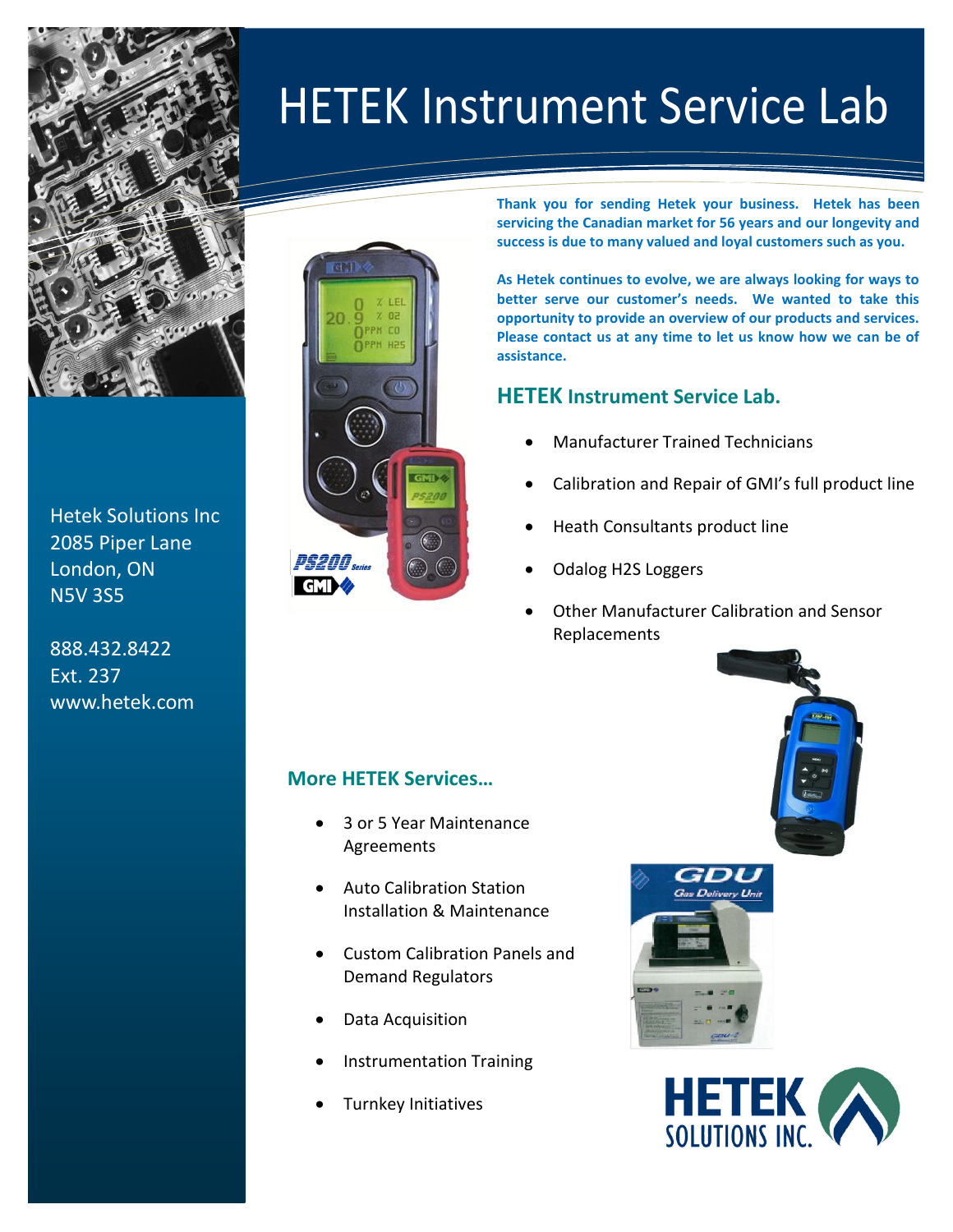

 Hetek Solutions Inc 2085 Piper Lane London, ON N5V 3S5

888.432.8422 Ext. 237 www.hetek.com



**Thank you for sending Hetek your business. Hetek has been servicing the Canadian market for 56 years and our longevity and success is due to many valued and loyal customers such as you.**

**As Hetek continues to evolve, we are always looking for ways to better serve our customer's needs. We wanted to take this opportunity to provide an overview of our products and services. Please contact us at any time to let us know how we can be of assistance.**

## **HETEK Instrument Service Lab.**

 $I = \frac{1}{2}$ 

HETEK Instrument Service Lab

- Manufacturer Trained Technicians
- Calibration and Repair of GMI's full product line
- Heath Consultants product line
- Odalog H2S Loggers
- Other Manufacturer Calibration and Sensor Replacements

## **More HETEK Services…**

- 3 or 5 Year Maintenance Agreements
- Auto Calibration Station Installation & Maintenance
- Custom Calibration Panels and Demand Regulators
- Data Acquisition
- Instrumentation Training
- Turnkey Initiatives